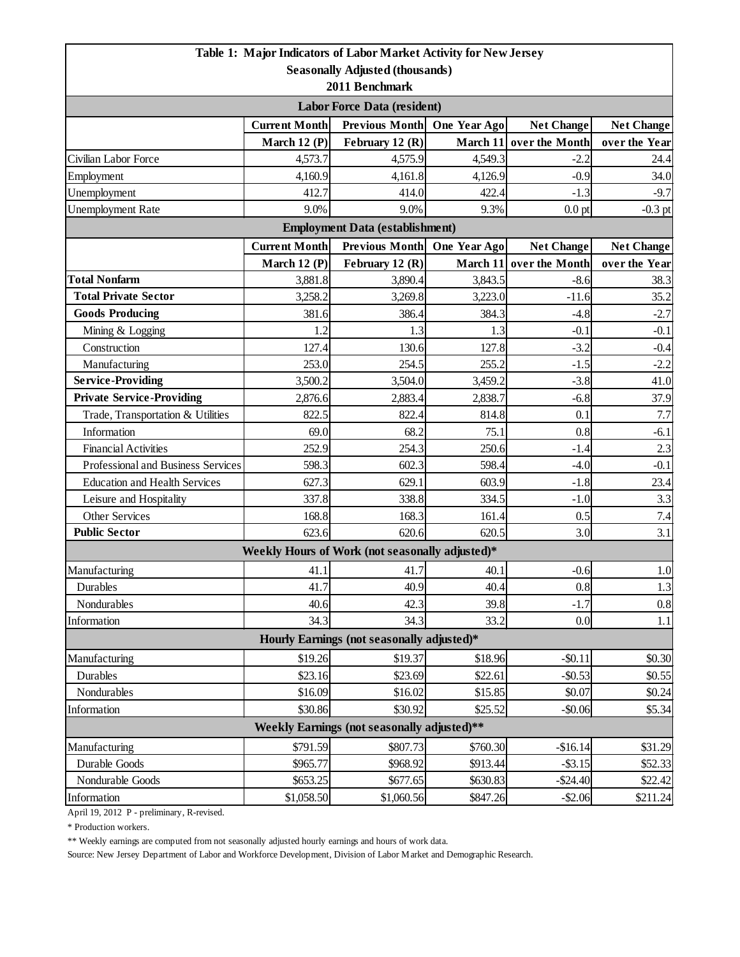|                                                                |                      | Table 1: Major Indicators of Labor Market Activity for New Jersey |              |                         |                    |  |  |  |
|----------------------------------------------------------------|----------------------|-------------------------------------------------------------------|--------------|-------------------------|--------------------|--|--|--|
| <b>Seasonally Adjusted (thousands)</b>                         |                      |                                                                   |              |                         |                    |  |  |  |
| 2011 Benchmark                                                 |                      |                                                                   |              |                         |                    |  |  |  |
| <b>Labor Force Data (resident)</b>                             |                      |                                                                   |              |                         |                    |  |  |  |
|                                                                | <b>Current Month</b> | Previous Month One Year Ago                                       |              | <b>Net Change</b>       | <b>Net Change</b>  |  |  |  |
|                                                                | March 12 (P)         | February 12 (R)                                                   |              | March 11 over the Month | over the Year      |  |  |  |
| Civilian Labor Force                                           | 4,573.7              | 4,575.9                                                           | 4,549.3      | $-2.2$                  | 24.4               |  |  |  |
| Employment                                                     | 4,160.9              | 4,161.8                                                           | 4,126.9      | $-0.9$                  | 34.0               |  |  |  |
| Unemployment                                                   | 412.7                | 414.0                                                             | 422.4        | $-1.3$                  | $-9.7$             |  |  |  |
| <b>Unemployment Rate</b>                                       | 9.0%                 | 9.0%                                                              | 9.3%         | $0.0$ pt                | $-0.3$ pt          |  |  |  |
| <b>Employment Data (establishment)</b>                         |                      |                                                                   |              |                         |                    |  |  |  |
|                                                                | <b>Current Month</b> | <b>Previous Month</b>                                             | One Year Ago | <b>Net Change</b>       | <b>Net Change</b>  |  |  |  |
|                                                                | March 12 $(P)$       | February 12 (R)                                                   |              | March 11 over the Month | over the Year      |  |  |  |
| <b>Total Nonfarm</b>                                           | 3,881.8              | 3,890.4                                                           | 3,843.5      | $-8.6$                  | 38.3               |  |  |  |
| <b>Total Private Sector</b>                                    | 3,258.2              | 3,269.8                                                           | 3,223.0      | $-11.6$                 | 35.2               |  |  |  |
| <b>Goods Producing</b>                                         | 381.6                | 386.4                                                             | 384.3        | $-4.8$                  | $-2.7$             |  |  |  |
| Mining & Logging                                               | 1.2                  | 1.3                                                               | 1.3          | $-0.1$                  | $-0.1$             |  |  |  |
| Construction                                                   | 127.4                | 130.6                                                             | 127.8        | $-3.2$                  | $-0.4$             |  |  |  |
| Manufacturing                                                  | 253.0                | 254.5                                                             | 255.2        | $-1.5$                  | $-2.2$             |  |  |  |
| <b>Service-Providing</b>                                       | 3,500.2              | 3,504.0                                                           | 3,459.2      | $-3.8$                  | 41.0               |  |  |  |
| <b>Private Service-Providing</b>                               | 2,876.6              | 2,883.4                                                           | 2,838.7      | $-6.8$                  | 37.9               |  |  |  |
| Trade, Transportation & Utilities                              | 822.5                | 822.4                                                             | 814.8        | 0.1                     | 7.7                |  |  |  |
| Information                                                    | 69.0                 | 68.2                                                              | 75.1         | 0.8                     | $-6.1$             |  |  |  |
| <b>Financial Activities</b>                                    | 252.9                | 254.3                                                             | 250.6        | $-1.4$                  | 2.3                |  |  |  |
| Professional and Business Services                             | 598.3                | 602.3<br>598.4                                                    |              | $-4.0$                  | $-0.1$             |  |  |  |
| <b>Education and Health Services</b>                           | 627.3                | 629.1                                                             | 603.9        | $-1.8$                  | 23.4               |  |  |  |
| Leisure and Hospitality                                        | 337.8                | 338.8                                                             | 334.5        | $-1.0$                  | 3.3                |  |  |  |
| Other Services                                                 | 168.8                | 168.3                                                             | 161.4        | 0.5                     | 7.4                |  |  |  |
| <b>Public Sector</b>                                           | 623.6                | 620.6                                                             | 620.5        | 3.0                     | 3.1                |  |  |  |
|                                                                |                      | Weekly Hours of Work (not seasonally adjusted)*                   |              |                         |                    |  |  |  |
| Manufacturing                                                  | 41.1                 | 41.7                                                              | 40.1         | $-0.6$                  | 1.0                |  |  |  |
| Durables                                                       | 41.7                 | 40.9                                                              | 40.4         | 0.8                     | 1.3                |  |  |  |
| Nondurables                                                    | 40.6                 | 42.3                                                              | 39.8         | $-1.7$                  | 0.8                |  |  |  |
| Information                                                    | 34.3                 | 34.3                                                              | 33.2         | 0.0                     | 1.1                |  |  |  |
| Hourly Earnings (not seasonally adjusted)*                     |                      |                                                                   |              |                         |                    |  |  |  |
| Manufacturing                                                  | \$19.26              | \$19.37                                                           | \$18.96      | $-$0.11$                | \$0.30             |  |  |  |
| Durables                                                       | \$23.16              | \$23.69                                                           | \$22.61      | $-$ \$0.53              | \$0.55             |  |  |  |
| Nondurables                                                    | \$16.09              | \$16.02                                                           | \$15.85      | \$0.07                  | \$0.24             |  |  |  |
| Information                                                    | \$30.86              | \$30.92                                                           | \$25.52      | $-$0.06$                | \$5.34             |  |  |  |
| Weekly Earnings (not seasonally adjusted)**                    |                      |                                                                   |              |                         |                    |  |  |  |
| \$791.59<br>Manufacturing<br>\$807.73<br>\$760.30<br>$-$16.14$ |                      |                                                                   |              |                         |                    |  |  |  |
| Durable Goods                                                  | \$965.77             | \$968.92                                                          | \$913.44     | $-$ \$3.15              | \$31.29<br>\$52.33 |  |  |  |
| Nondurable Goods                                               | \$653.25             | \$677.65                                                          | \$630.83     | $-$24.40$               | \$22.42]           |  |  |  |
| Information                                                    | \$1,058.50           | \$1,060.56                                                        | \$847.26     | $-$2.06$                | \$211.24           |  |  |  |

April 19, 2012 P - preliminary, R-revised.

\* Production workers.

\*\* Weekly earnings are computed from not seasonally adjusted hourly earnings and hours of work data.

Source: New Jersey Department of Labor and Workforce Development, Division of Labor Market and Demographic Research.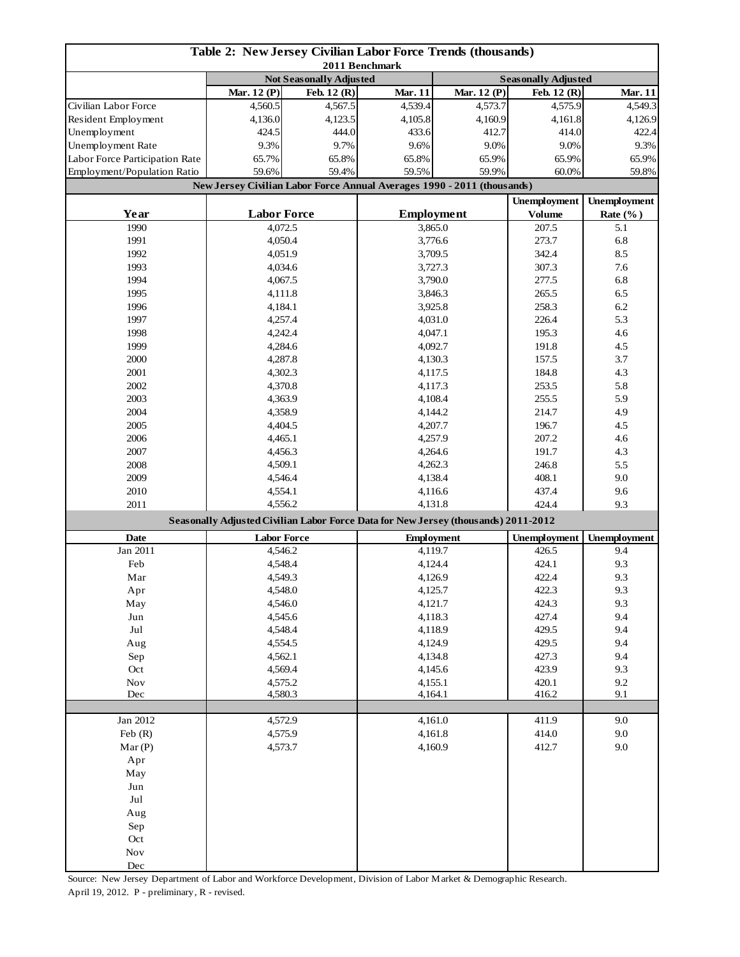| <b>Table 2: New Jersey Civilian Labor Force Trends (thousands)</b><br>2011 Benchmark |                    |                                                                                    |                                                                         |                   |                     |                     |
|--------------------------------------------------------------------------------------|--------------------|------------------------------------------------------------------------------------|-------------------------------------------------------------------------|-------------------|---------------------|---------------------|
|                                                                                      |                    | Not Seasonally Adjusted                                                            | <b>Seasonally Adjusted</b>                                              |                   |                     |                     |
|                                                                                      | Mar. 12 (P)        | Feb. 12 (R)                                                                        | <b>Mar. 11</b>                                                          | Mar. 12 (P)       | Feb. 12 (R)         | Mar. 11             |
| Civilian Labor Force                                                                 | 4,560.5            | 4,567.5                                                                            | 4,539.4                                                                 | 4,573.7           | 4,575.9             | 4,549.3             |
| Resident Employment                                                                  | 4,136.0            | 4,123.5                                                                            | 4,105.8                                                                 | 4,160.9           | 4,161.8             | 4,126.9             |
| Unemployment                                                                         | 424.5              | 444.0                                                                              | 433.6                                                                   | 412.7             | 414.0               | 422.4               |
| Unemployment Rate                                                                    | 9.3%               | 9.7%                                                                               | 9.6%                                                                    | 9.0%              | 9.0%                | 9.3%                |
| Labor Force Participation Rate                                                       | 65.7%              | 65.8%                                                                              | 65.8%                                                                   | 65.9%             | 65.9%               | 65.9%               |
| Employment/Population Ratio                                                          | 59.6%              | 59.4%                                                                              | 59.5%                                                                   | 59.9%             | 60.0%               | 59.8%               |
|                                                                                      |                    |                                                                                    | New Jersey Civilian Labor Force Annual Averages 1990 - 2011 (thousands) |                   |                     |                     |
|                                                                                      |                    |                                                                                    |                                                                         |                   | <b>Unemployment</b> | <b>Unemployment</b> |
| Year                                                                                 | <b>Labor Force</b> |                                                                                    |                                                                         | <b>Employment</b> | <b>Volume</b>       | Rate $(\%$ )        |
| 1990                                                                                 | 4,072.5            |                                                                                    | 3,865.0                                                                 |                   | 207.5               | 5.1                 |
| 1991                                                                                 | 4,050.4            |                                                                                    | 3,776.6                                                                 |                   | 273.7               | 6.8                 |
| 1992                                                                                 | 4,051.9            |                                                                                    | 3,709.5                                                                 |                   | 342.4               | 8.5                 |
| 1993                                                                                 | 4,034.6            |                                                                                    | 3,727.3                                                                 |                   | 307.3               | 7.6                 |
| 1994                                                                                 | 4,067.5            |                                                                                    |                                                                         | 3,790.0           | 277.5               | 6.8                 |
| 1995                                                                                 | 4,111.8            |                                                                                    |                                                                         | 3,846.3           | 265.5               | 6.5                 |
| 1996                                                                                 | 4,184.1            |                                                                                    |                                                                         | 3,925.8           | 258.3               | 6.2                 |
| 1997                                                                                 | 4,257.4            |                                                                                    |                                                                         | 4,031.0           | 226.4               | 5.3                 |
| 1998                                                                                 | 4,242.4            |                                                                                    | 4,047.1                                                                 |                   | 195.3               | 4.6                 |
| 1999                                                                                 | 4,284.6            |                                                                                    | 4,092.7                                                                 |                   | 191.8               | 4.5                 |
| 2000                                                                                 | 4,287.8            |                                                                                    | 4,130.3                                                                 |                   | 157.5               | 3.7                 |
| 2001                                                                                 | 4,302.3            |                                                                                    |                                                                         | 4,117.5           | 184.8               | 4.3                 |
| 2002                                                                                 | 4,370.8            |                                                                                    |                                                                         | 4,117.3           | 253.5               | 5.8                 |
| 2003                                                                                 | 4,363.9            |                                                                                    |                                                                         | 4,108.4           | 255.5               | 5.9                 |
| 2004                                                                                 | 4,358.9            |                                                                                    |                                                                         | 4,144.2           |                     | 4.9                 |
| 2005                                                                                 | 4,404.5            |                                                                                    | 4,207.7                                                                 |                   | 196.7               | 4.5                 |
| 2006                                                                                 | 4,465.1            |                                                                                    | 4,257.9                                                                 |                   | 207.2               | 4.6                 |
| 2007                                                                                 | 4,456.3            |                                                                                    | 4,264.6                                                                 |                   | 191.7               | 4.3                 |
| 2008                                                                                 | 4,509.1            |                                                                                    | 4,262.3                                                                 |                   | 246.8               | 5.5                 |
| 2009                                                                                 | 4,546.4            |                                                                                    | 4,138.4                                                                 |                   | 408.1               | 9.0                 |
| 2010                                                                                 | 4,554.1            |                                                                                    |                                                                         | 4,116.6           |                     | 9.6                 |
| 2011                                                                                 |                    | 4,556.2                                                                            |                                                                         | 4,131.8           | 424.4               | 9.3                 |
|                                                                                      |                    | Seasonally Adjusted Civilian Labor Force Data for New Jersey (thousands) 2011-2012 |                                                                         |                   |                     |                     |
| Date                                                                                 | <b>Labor Force</b> |                                                                                    |                                                                         | <b>Employment</b> |                     | Unemployment        |
| Jan 2011                                                                             | 4,546.2            |                                                                                    | 4,119.7                                                                 |                   | 426.5               | 9.4                 |
| Feb                                                                                  | 4,548.4            |                                                                                    |                                                                         | 4,124.4           |                     | 9.3                 |
| Mar                                                                                  | 4,549.3            |                                                                                    | 4,126.9                                                                 |                   | 422.4               | 9.3                 |
| Apr                                                                                  | 4,548.0            |                                                                                    |                                                                         | 4,125.7           |                     | 9.3                 |
| May                                                                                  | 4,546.0            |                                                                                    |                                                                         | 4,121.7           |                     | 9.3                 |
| Jun                                                                                  | 4,545.6            |                                                                                    |                                                                         | 4,118.3           |                     | 9.4                 |
| Jul                                                                                  | 4,548.4            |                                                                                    | 4,118.9                                                                 |                   | 429.5               | 9.4                 |
| Aug                                                                                  | 4,554.5            |                                                                                    | 4,124.9                                                                 |                   | 429.5               | 9.4                 |
| Sep                                                                                  | 4,562.1            |                                                                                    | 4,134.8                                                                 |                   | 427.3               | 9.4                 |
| Oct                                                                                  | 4,569.4            |                                                                                    | 4,145.6                                                                 |                   | 423.9               | 9.3                 |
| $\operatorname{Nov}$                                                                 | 4,575.2            |                                                                                    | 4,155.1                                                                 |                   | 420.1               | 9.2                 |
| Dec                                                                                  | 4,580.3            |                                                                                    | 4,164.1                                                                 |                   | 416.2               | 9.1                 |
|                                                                                      |                    |                                                                                    |                                                                         |                   |                     |                     |
| Jan 2012                                                                             | 4,572.9            |                                                                                    |                                                                         | 4,161.0           | 411.9               | 9.0                 |
| Feb $(R)$                                                                            | 4,575.9            |                                                                                    | 4,161.8                                                                 |                   | 414.0               | 9.0                 |
| Mar(P)                                                                               | 4,573.7            |                                                                                    | 4,160.9                                                                 |                   | 412.7               | 9.0                 |
| Apr                                                                                  |                    |                                                                                    |                                                                         |                   |                     |                     |
| May                                                                                  |                    |                                                                                    |                                                                         |                   |                     |                     |
| Jun                                                                                  |                    |                                                                                    |                                                                         |                   |                     |                     |
| $_{\rm{Jul}}$                                                                        |                    |                                                                                    |                                                                         |                   |                     |                     |
| Aug                                                                                  |                    |                                                                                    |                                                                         |                   |                     |                     |
| Sep<br>Oct                                                                           |                    |                                                                                    |                                                                         |                   |                     |                     |
| $\operatorname{Nov}$                                                                 |                    |                                                                                    |                                                                         |                   |                     |                     |
| $\rm Dec$                                                                            |                    |                                                                                    |                                                                         |                   |                     |                     |

Source: New Jersey Department of Labor and Workforce Development, Division of Labor Market & Demographic Research. April 19, 2012. P - preliminary, R - revised.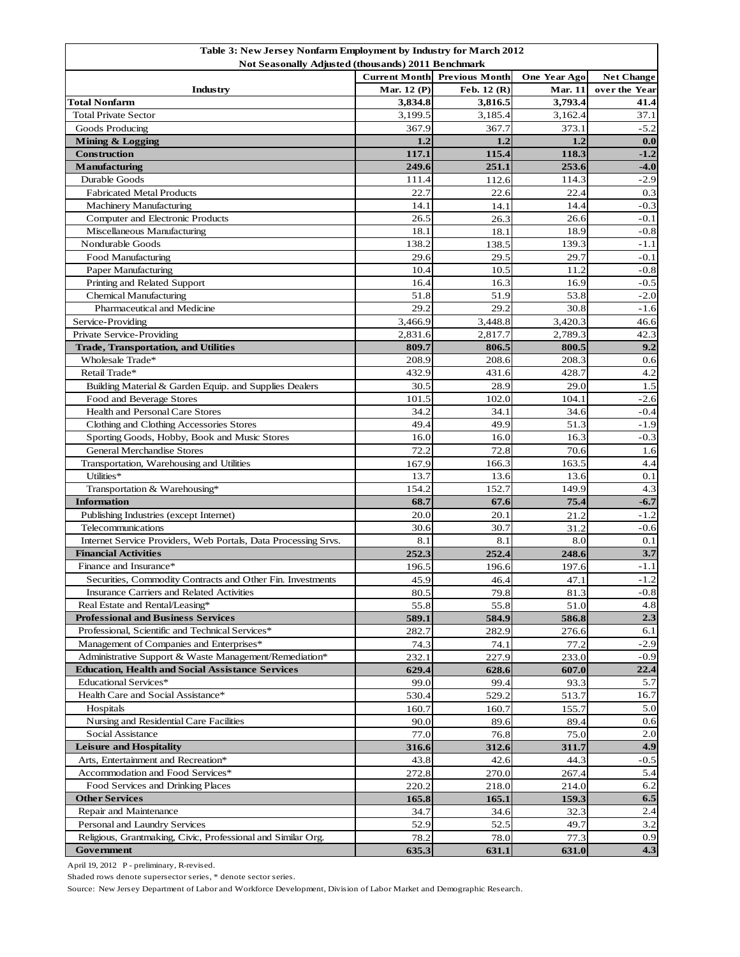| Table 3: New Jersey Nonfarm Employment by Industry for March 2012 |                      |                       |                |                   |  |  |  |
|-------------------------------------------------------------------|----------------------|-----------------------|----------------|-------------------|--|--|--|
| Not Seasonally Adjusted (thousands) 2011 Benchmark                |                      |                       |                |                   |  |  |  |
|                                                                   | <b>Current Month</b> | <b>Previous Month</b> | One Year Ago   | <b>Net Change</b> |  |  |  |
| Industry                                                          | Mar. 12 (P)          | Feb. 12 (R)           | <b>Mar. 11</b> | over the Year     |  |  |  |
| <b>Total Nonfarm</b>                                              | 3,834.8              | 3,816.5               | 3,793.4        | 41.4              |  |  |  |
| <b>Total Private Sector</b>                                       | 3,199.5              | 3,185.4               | 3,162.4        | 37.1              |  |  |  |
| Goods Producing                                                   | 367.9                | 367.7                 | 373.1          | $-5.2$            |  |  |  |
| Mining & Logging                                                  | 1.2                  | 1.2                   | 1.2            | 0.0               |  |  |  |
| <b>Construction</b>                                               | 117.1                | 115.4                 | 118.3          | $-1.2$            |  |  |  |
| <b>Manufacturing</b>                                              | 249.6                | 251.1                 | 253.6          | $-4.0$            |  |  |  |
| Durable Goods                                                     | 111.4                | 112.6                 | 114.3          | $-2.9$            |  |  |  |
| <b>Fabricated Metal Products</b>                                  | 22.7                 | 22.6                  | 22.4           | 0.3               |  |  |  |
| <b>Machinery Manufacturing</b>                                    | 14.1                 | 14.1                  | 14.4           | $-0.3$            |  |  |  |
| Computer and Electronic Products                                  | 26.5                 | 26.3                  | 26.6           | $-0.1$            |  |  |  |
| Miscellaneous Manufacturing                                       | 18.1                 | 18.1                  | 18.9           | $-0.8$            |  |  |  |
| Nondurable Goods                                                  | 138.2                | 138.5                 | 139.3          | $-1.1$            |  |  |  |
| Food Manufacturing                                                | 29.6                 | 29.5                  | 29.7           | $-0.1$            |  |  |  |
| Paper Manufacturing                                               | 10.4                 | 10.5                  | 11.2           | $-0.8$            |  |  |  |
|                                                                   | 16.4                 | 16.3                  | 16.9           | $-0.5$            |  |  |  |
| Printing and Related Support                                      | 51.8                 | 51.9                  | 53.8           | $-2.0$            |  |  |  |
| <b>Chemical Manufacturing</b>                                     | 29.2                 |                       |                |                   |  |  |  |
| Pharmaceutical and Medicine                                       |                      | 29.2                  | 30.8           | $-1.6$            |  |  |  |
| Service-Providing                                                 | 3,466.9              | 3,448.8               | 3,420.3        | 46.6              |  |  |  |
| Private Service-Providing                                         | 2,831.6              | 2,817.7               | 2,789.3        | 42.3              |  |  |  |
| <b>Trade, Transportation, and Utilities</b>                       | 809.7                | 806.5                 | 800.5          | 9.2               |  |  |  |
| Wholesale Trade*                                                  | 208.9                | 208.6                 | 208.3          | 0.6               |  |  |  |
| Retail Trade*                                                     | 432.9                | 431.6                 | 428.7          | 4.2               |  |  |  |
| Building Material & Garden Equip. and Supplies Dealers            | 30.5                 | 28.9                  | 29.0           | 1.5               |  |  |  |
| Food and Beverage Stores                                          | 101.5                | 102.0                 | 104.1          | $-2.6$            |  |  |  |
| Health and Personal Care Stores                                   | 34.2                 | 34.1                  | 34.6           | $-0.4$            |  |  |  |
| Clothing and Clothing Accessories Stores                          | 49.4                 | 49.9                  | 51.3           | $-1.9$            |  |  |  |
| Sporting Goods, Hobby, Book and Music Stores                      | 16.0                 | 16.0                  | 16.3           | $-0.3$            |  |  |  |
| <b>General Merchandise Stores</b>                                 | 72.2                 | 72.8                  | 70.6           | 1.6               |  |  |  |
| Transportation, Warehousing and Utilities                         | 167.9                | 166.3                 | 163.5          | 4.4               |  |  |  |
| Utilities*                                                        | 13.7                 | 13.6                  | 13.6           | 0.1               |  |  |  |
| Transportation & Warehousing*                                     | 154.2                | 152.7                 | 149.9          | 4.3               |  |  |  |
| <b>Information</b>                                                | 68.7                 | 67.6                  | 75.4           | $-6.7$            |  |  |  |
| Publishing Industries (except Internet)                           | 20.0                 | 20.1                  | 21.2           | $-1.2$            |  |  |  |
| Telecommunications                                                | 30.6                 | 30.7                  | 31.2           | $-0.6$            |  |  |  |
| Internet Service Providers, Web Portals, Data Processing Srvs.    | 8.1                  | 8.1                   | 8.0            | 0.1               |  |  |  |
| <b>Financial Activities</b>                                       | 252.3                | 252.4                 | 248.6          | 3.7               |  |  |  |
| Finance and Insurance*                                            | 196.5                | 196.6                 | 197.6          | $-1.1$            |  |  |  |
| Securities, Commodity Contracts and Other Fin. Investments        | 45.9                 | 46.4                  | 47.1           | $-1.2$            |  |  |  |
| Insurance Carriers and Related Activities                         | 80.5                 | 79.8                  | 81.3           | $-0.8$            |  |  |  |
| Real Estate and Rental/Leasing*                                   | 55.8                 | 55.8                  | 51.0           | 4.8               |  |  |  |
| <b>Professional and Business Services</b>                         | 589.1                | 584.9                 | 586.8          | 2.3               |  |  |  |
| Professional, Scientific and Technical Services*                  | 282.7                | 282.9                 | 276.6          | 6.1               |  |  |  |
| Management of Companies and Enterprises*                          | 74.3                 | 74.1                  | 77.2           | $-2.9$            |  |  |  |
| Administrative Support & Waste Management/Remediation*            | 232.1                | 227.9                 | 233.0          | $-0.9$            |  |  |  |
| <b>Education, Health and Social Assistance Services</b>           | 629.4                | 628.6                 | 607.0          | 22.4              |  |  |  |
| <b>Educational Services*</b>                                      | 99.0                 | 99.4                  | 93.3           | 5.7               |  |  |  |
| Health Care and Social Assistance*                                | 530.4                | 529.2                 | 513.7          | 16.7              |  |  |  |
| Hospitals                                                         | 160.7                | 160.7                 | 155.7          | 5.0               |  |  |  |
| Nursing and Residential Care Facilities                           |                      |                       |                |                   |  |  |  |
|                                                                   | 90.0                 | 89.6                  | 89.4           | 0.6               |  |  |  |
| Social Assistance                                                 | 77.0                 | 76.8                  | 75.0           | 2.0               |  |  |  |
| <b>Leisure and Hospitality</b>                                    | 316.6                | 312.6                 | 311.7          | 4.9               |  |  |  |
| Arts, Entertainment and Recreation*                               | 43.8                 | 42.6                  | 44.3           | $-0.5$            |  |  |  |
| Accommodation and Food Services*                                  | 272.8                | 270.0                 | 267.4          | 5.4               |  |  |  |
| Food Services and Drinking Places                                 | 220.2                | 218.0                 | 214.0          | 6.2               |  |  |  |
| <b>Other Services</b>                                             | 165.8                | 165.1                 | 159.3          | 6.5               |  |  |  |
| Repair and Maintenance                                            | 34.7                 | 34.6                  | 32.3           | 2.4               |  |  |  |
| Personal and Laundry Services                                     | 52.9                 | 52.5                  | 49.7           | 3.2               |  |  |  |
| Religious, Grantmaking, Civic, Professional and Similar Org.      | 78.2                 | 78.0                  | 77.3           | 0.9               |  |  |  |
| Government                                                        | 635.3                | 631.1                 | 631.0          | 4.3               |  |  |  |

April 19, 2012 P - preliminary, R-revised.

Shaded rows denote supersector series, \* denote sector series.

Source: New Jersey Department of Labor and Workforce Development, Division of Labor Market and Demographic Research.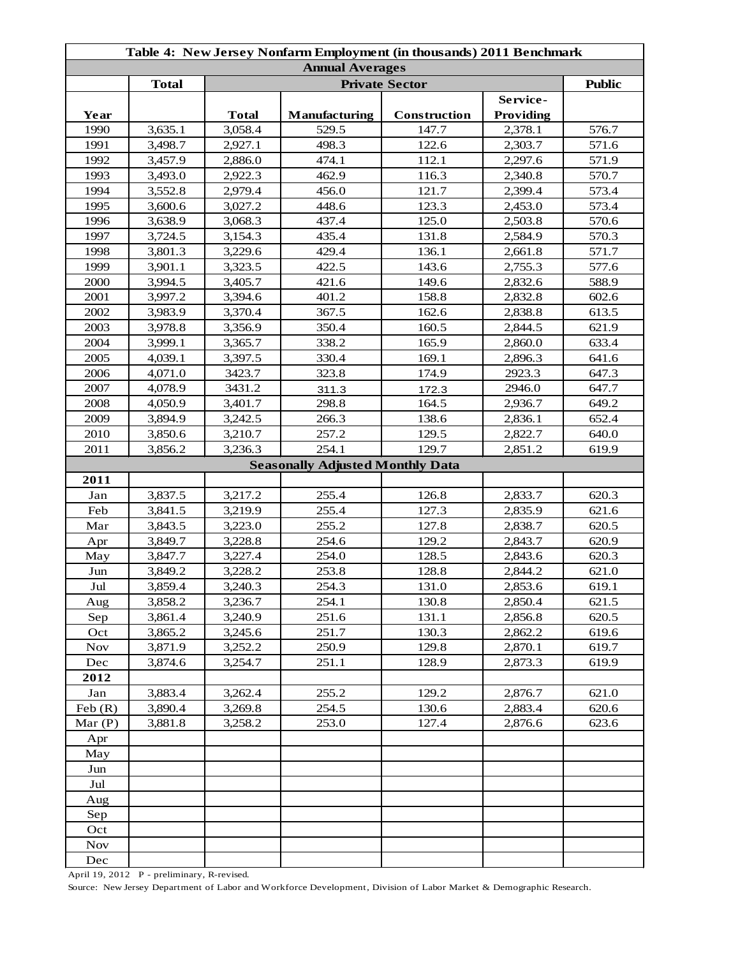| Table 4: New Jersey Nonfarm Employment (in thousands) 2011 Benchmark |              |              |                                         |              |                       |       |  |
|----------------------------------------------------------------------|--------------|--------------|-----------------------------------------|--------------|-----------------------|-------|--|
| <b>Annual Averages</b><br><b>Private Sector</b>                      |              |              |                                         |              |                       |       |  |
|                                                                      | <b>Total</b> |              | <b>Public</b>                           |              |                       |       |  |
| Year                                                                 |              | <b>Total</b> | Manufacturing                           | Construction | Service-<br>Providing |       |  |
| 1990                                                                 | 3,635.1      | 3,058.4      | 529.5                                   | 147.7        | 2,378.1               | 576.7 |  |
| 1991                                                                 | 3,498.7      | 2,927.1      | 498.3                                   | 122.6        | 2,303.7               | 571.6 |  |
| 1992                                                                 | 3,457.9      | 2,886.0      | 474.1                                   | 112.1        | 2,297.6               | 571.9 |  |
| 1993                                                                 | 3,493.0      | 2,922.3      | 462.9                                   | 116.3        | 2,340.8               | 570.7 |  |
| 1994                                                                 | 3,552.8      | 2,979.4      | 456.0                                   | 121.7        | 2,399.4               | 573.4 |  |
| 1995                                                                 | 3,600.6      | 3,027.2      | 448.6                                   | 123.3        | 2,453.0               | 573.4 |  |
| 1996                                                                 | 3,638.9      | 3,068.3      | 437.4                                   | 125.0        | 2,503.8               | 570.6 |  |
| 1997                                                                 | 3,724.5      | 3,154.3      | 435.4                                   | 131.8        | 2,584.9               | 570.3 |  |
| 1998                                                                 | 3,801.3      | 3,229.6      | 429.4                                   | 136.1        | 2,661.8               | 571.7 |  |
| 1999                                                                 | 3,901.1      | 3,323.5      | 422.5                                   | 143.6        | 2,755.3               | 577.6 |  |
| 2000                                                                 | 3,994.5      | 3,405.7      | 421.6                                   | 149.6        | 2,832.6               | 588.9 |  |
| 2001                                                                 | 3,997.2      | 3,394.6      | 401.2                                   | 158.8        | 2,832.8               | 602.6 |  |
| 2002                                                                 | 3,983.9      | 3,370.4      | 367.5                                   | 162.6        | 2,838.8               | 613.5 |  |
| 2003                                                                 | 3,978.8      | 3,356.9      | 350.4                                   | 160.5        | 2,844.5               | 621.9 |  |
| 2004                                                                 | 3,999.1      | 3,365.7      | 338.2                                   | 165.9        | 2,860.0               | 633.4 |  |
| 2005                                                                 | 4,039.1      | 3,397.5      | 330.4                                   | 169.1        | 2,896.3               | 641.6 |  |
| 2006                                                                 | 4,071.0      | 3423.7       | 323.8                                   | 174.9        | 2923.3                | 647.3 |  |
| 2007                                                                 | 4,078.9      | 3431.2       | 311.3                                   | 172.3        | 2946.0                | 647.7 |  |
| 2008                                                                 | 4,050.9      | 3,401.7      | 298.8                                   | 164.5        | 2,936.7               | 649.2 |  |
| 2009                                                                 | 3,894.9      | 3,242.5      | 266.3                                   | 138.6        | 2,836.1               | 652.4 |  |
| 2010                                                                 | 3,850.6      | 3,210.7      | 257.2                                   | 129.5        | 2,822.7               | 640.0 |  |
| 2011                                                                 | 3,856.2      | 3,236.3      | 254.1                                   | 129.7        | 2,851.2               | 619.9 |  |
|                                                                      |              |              | <b>Seasonally Adjusted Monthly Data</b> |              |                       |       |  |
| 2011                                                                 |              |              |                                         |              |                       |       |  |
| Jan                                                                  | 3,837.5      | 3,217.2      | 255.4                                   | 126.8        | 2,833.7               | 620.3 |  |
| Feb                                                                  | 3,841.5      | 3,219.9      | 255.4                                   | 127.3        | 2,835.9               | 621.6 |  |
| Mar                                                                  | 3,843.5      | 3,223.0      | 255.2                                   | 127.8        | 2,838.7               | 620.5 |  |
| Apr                                                                  | 3,849.7      | 3,228.8      | 254.6                                   | 129.2        | 2,843.7               | 620.9 |  |
| May                                                                  | 3,847.7      | 3,227.4      | 254.0                                   | 128.5        | 2,843.6               | 620.3 |  |
| Jun                                                                  | 3,849.2      | 3,228.2      | 253.8                                   | 128.8        | 2,844.2               | 621.0 |  |
| Jul                                                                  | 3,859.4      | 3,240.3      | 254.3                                   | 131.0        | 2,853.6               | 619.1 |  |
| Aug                                                                  | 3,858.2      | 3,236.7      | 254.1                                   | 130.8        | 2,850.4               | 621.5 |  |
| Sep                                                                  | 3,861.4      | 3,240.9      | 251.6                                   | 131.1        | 2,856.8               | 620.5 |  |
| Oct                                                                  | 3,865.2      | 3,245.6      | 251.7                                   | 130.3        | 2,862.2               | 619.6 |  |
| <b>Nov</b>                                                           | 3,871.9      | 3,252.2      | 250.9                                   | 129.8        | 2,870.1               | 619.7 |  |
| Dec                                                                  | 3,874.6      | 3,254.7      | 251.1                                   | 128.9        | 2,873.3               | 619.9 |  |
| 2012                                                                 |              |              |                                         |              |                       |       |  |
| Jan                                                                  | 3,883.4      | 3,262.4      | 255.2                                   | 129.2        | 2,876.7               | 621.0 |  |
| Feb(R)                                                               | 3,890.4      | 3,269.8      | 254.5                                   | 130.6        | 2,883.4               | 620.6 |  |
| Mar $(P)$                                                            | 3,881.8      | 3,258.2      | 253.0                                   | 127.4        | 2,876.6               | 623.6 |  |
| Apr                                                                  |              |              |                                         |              |                       |       |  |
| May                                                                  |              |              |                                         |              |                       |       |  |
| Jun                                                                  |              |              |                                         |              |                       |       |  |
| Jul                                                                  |              |              |                                         |              |                       |       |  |
| Aug                                                                  |              |              |                                         |              |                       |       |  |
| Sep                                                                  |              |              |                                         |              |                       |       |  |
| Oct                                                                  |              |              |                                         |              |                       |       |  |
| <b>Nov</b>                                                           |              |              |                                         |              |                       |       |  |
| Dec                                                                  |              |              |                                         |              |                       |       |  |

April 19, 2012 P - preliminary, R-revised.

Source: New Jersey Department of Labor and Workforce Development, Division of Labor Market & Demographic Research.